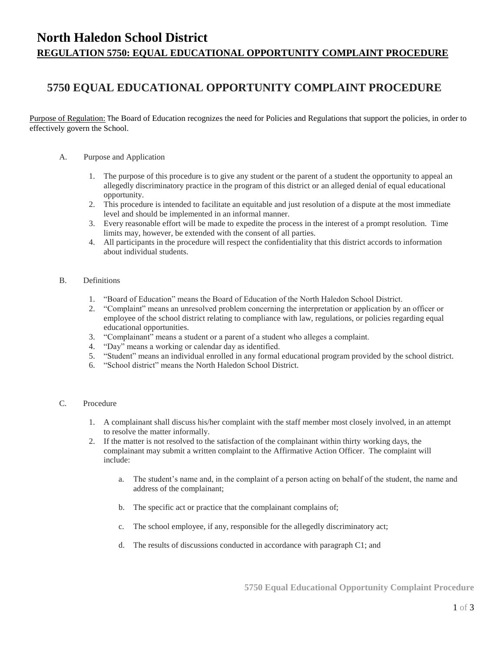# **North Haledon School District REGULATION 5750: EQUAL EDUCATIONAL OPPORTUNITY COMPLAINT PROCEDURE**

# **5750 EQUAL EDUCATIONAL OPPORTUNITY COMPLAINT PROCEDURE**

Purpose of Regulation: The Board of Education recognizes the need for Policies and Regulations that support the policies, in order to effectively govern the School.

- A. Purpose and Application
	- 1. The purpose of this procedure is to give any student or the parent of a student the opportunity to appeal an allegedly discriminatory practice in the program of this district or an alleged denial of equal educational opportunity.
	- 2. This procedure is intended to facilitate an equitable and just resolution of a dispute at the most immediate level and should be implemented in an informal manner.
	- 3. Every reasonable effort will be made to expedite the process in the interest of a prompt resolution. Time limits may, however, be extended with the consent of all parties.
	- 4. All participants in the procedure will respect the confidentiality that this district accords to information about individual students.

### B. Definitions

- 1. "Board of Education" means the Board of Education of the North Haledon School District.
- 2. "Complaint" means an unresolved problem concerning the interpretation or application by an officer or employee of the school district relating to compliance with law, regulations, or policies regarding equal educational opportunities.
- 3. "Complainant" means a student or a parent of a student who alleges a complaint.
- 4. "Day" means a working or calendar day as identified.
- 5. "Student" means an individual enrolled in any formal educational program provided by the school district.
- 6. "School district" means the North Haledon School District.

## C. Procedure

- 1. A complainant shall discuss his/her complaint with the staff member most closely involved, in an attempt to resolve the matter informally.
- 2. If the matter is not resolved to the satisfaction of the complainant within thirty working days, the complainant may submit a written complaint to the Affirmative Action Officer. The complaint will include:
	- a. The student's name and, in the complaint of a person acting on behalf of the student, the name and address of the complainant;
	- b. The specific act or practice that the complainant complains of;
	- c. The school employee, if any, responsible for the allegedly discriminatory act;
	- d. The results of discussions conducted in accordance with paragraph C1; and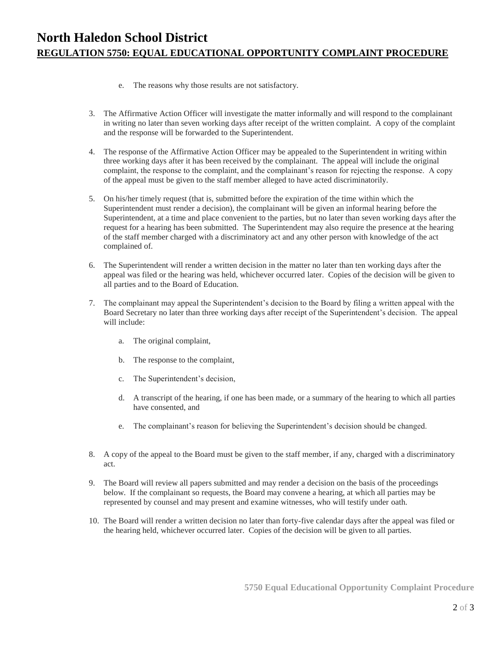- e. The reasons why those results are not satisfactory.
- 3. The Affirmative Action Officer will investigate the matter informally and will respond to the complainant in writing no later than seven working days after receipt of the written complaint. A copy of the complaint and the response will be forwarded to the Superintendent.
- 4. The response of the Affirmative Action Officer may be appealed to the Superintendent in writing within three working days after it has been received by the complainant. The appeal will include the original complaint, the response to the complaint, and the complainant's reason for rejecting the response. A copy of the appeal must be given to the staff member alleged to have acted discriminatorily.
- 5. On his/her timely request (that is, submitted before the expiration of the time within which the Superintendent must render a decision), the complainant will be given an informal hearing before the Superintendent, at a time and place convenient to the parties, but no later than seven working days after the request for a hearing has been submitted. The Superintendent may also require the presence at the hearing of the staff member charged with a discriminatory act and any other person with knowledge of the act complained of.
- 6. The Superintendent will render a written decision in the matter no later than ten working days after the appeal was filed or the hearing was held, whichever occurred later. Copies of the decision will be given to all parties and to the Board of Education.
- 7. The complainant may appeal the Superintendent's decision to the Board by filing a written appeal with the Board Secretary no later than three working days after receipt of the Superintendent's decision. The appeal will include:
	- a. The original complaint,
	- b. The response to the complaint,
	- c. The Superintendent's decision,
	- d. A transcript of the hearing, if one has been made, or a summary of the hearing to which all parties have consented, and
	- e. The complainant's reason for believing the Superintendent's decision should be changed.
- 8. A copy of the appeal to the Board must be given to the staff member, if any, charged with a discriminatory act.
- 9. The Board will review all papers submitted and may render a decision on the basis of the proceedings below. If the complainant so requests, the Board may convene a hearing, at which all parties may be represented by counsel and may present and examine witnesses, who will testify under oath.
- 10. The Board will render a written decision no later than forty-five calendar days after the appeal was filed or the hearing held, whichever occurred later. Copies of the decision will be given to all parties.